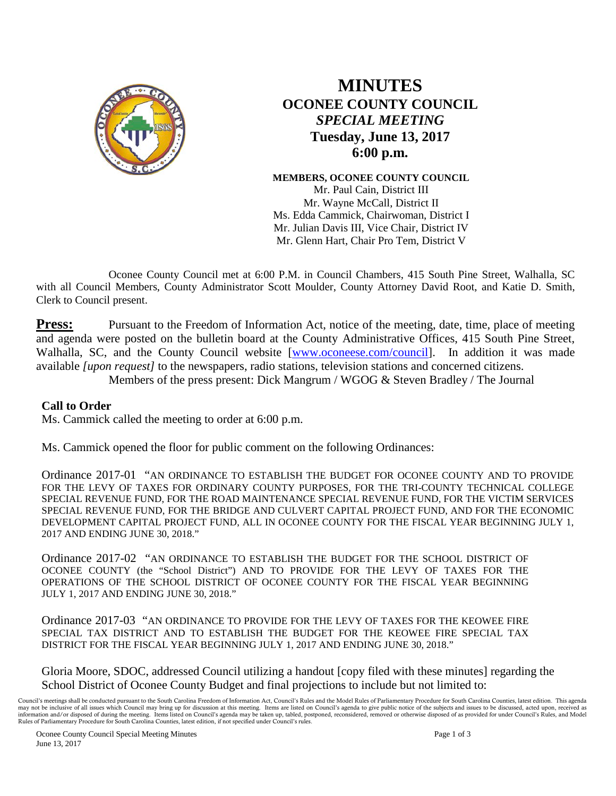

## **MINUTES OCONEE COUNTY COUNCIL**  *SPECIAL MEETING* **Tuesday, June 13, 2017 6:00 p.m.**

**MEMBERS, OCONEE COUNTY COUNCIL** Mr. Paul Cain, District III Mr. Wayne McCall, District II Ms. Edda Cammick, Chairwoman, District I Mr. Julian Davis III, Vice Chair, District IV Mr. Glenn Hart, Chair Pro Tem, District V

Oconee County Council met at 6:00 P.M. in Council Chambers, 415 South Pine Street, Walhalla, SC with all Council Members, County Administrator Scott Moulder, County Attorney David Root, and Katie D. Smith, Clerk to Council present.

**Press:** Pursuant to the Freedom of Information Act, notice of the meeting, date, time, place of meeting and agenda were posted on the bulletin board at the County Administrative Offices, 415 South Pine Street, Walhalla, SC, and the County Council website [\[www.oconeese.com/council\]](http://www.oconeese.com/council). In addition it was made available *[upon request]* to the newspapers, radio stations, television stations and concerned citizens.

Members of the press present: Dick Mangrum / WGOG & Steven Bradley / The Journal

## **Call to Order**

Ms. Cammick called the meeting to order at 6:00 p.m.

Ms. Cammick opened the floor for public comment on the following Ordinances:

Ordinance 2017-01 "AN ORDINANCE TO ESTABLISH THE BUDGET FOR OCONEE COUNTY AND TO PROVIDE FOR THE LEVY OF TAXES FOR ORDINARY COUNTY PURPOSES, FOR THE TRI-COUNTY TECHNICAL COLLEGE SPECIAL REVENUE FUND, FOR THE ROAD MAINTENANCE SPECIAL REVENUE FUND, FOR THE VICTIM SERVICES SPECIAL REVENUE FUND, FOR THE BRIDGE AND CULVERT CAPITAL PROJECT FUND, AND FOR THE ECONOMIC DEVELOPMENT CAPITAL PROJECT FUND, ALL IN OCONEE COUNTY FOR THE FISCAL YEAR BEGINNING JULY 1, 2017 AND ENDING JUNE 30, 2018."

Ordinance 2017-02 "AN ORDINANCE TO ESTABLISH THE BUDGET FOR THE SCHOOL DISTRICT OF OCONEE COUNTY (the "School District") AND TO PROVIDE FOR THE LEVY OF TAXES FOR THE OPERATIONS OF THE SCHOOL DISTRICT OF OCONEE COUNTY FOR THE FISCAL YEAR BEGINNING JULY 1, 2017 AND ENDING JUNE 30, 2018."

Ordinance 2017-03 "AN ORDINANCE TO PROVIDE FOR THE LEVY OF TAXES FOR THE KEOWEE FIRE SPECIAL TAX DISTRICT AND TO ESTABLISH THE BUDGET FOR THE KEOWEE FIRE SPECIAL TAX DISTRICT FOR THE FISCAL YEAR BEGINNING JULY 1, 2017 AND ENDING JUNE 30, 2018."

Gloria Moore, SDOC, addressed Council utilizing a handout [copy filed with these minutes] regarding the School District of Oconee County Budget and final projections to include but not limited to:

Council's meetings shall be conducted pursuant to the South Carolina Freedom of Information Act, Council's Rules and the Model Rules of Parliamentary Procedure for South Carolina Counties, latest edition. This agenda may not be inclusive of all issues which Council may bring up for discussion at this meeting. Items are listed on Council's agenda to give public notice of the subjects and issues to be discussed, acted upon, received as information and/or disposed of during the meeting. Items listed on Council's agenda may be taken up, tabled, postponed, reconsidered, removed or otherwise disposed of as provided for under Council's Rules, and Model Rules of Parliamentary Procedure for South Carolina Counties, latest edition, if not specified under Council's rules.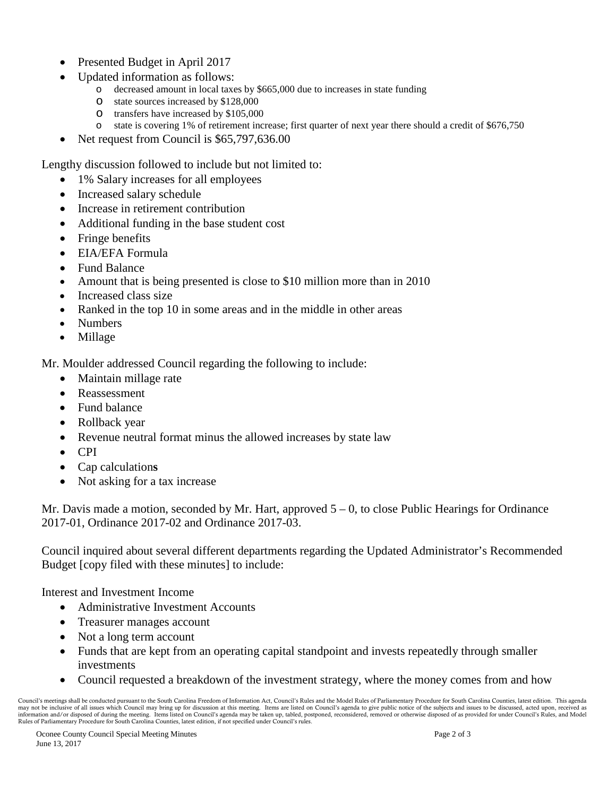- Presented Budget in April 2017
- Updated information as follows:
	- o decreased amount in local taxes by \$665,000 due to increases in state funding
	- o state sources increased by \$128,000<br>o transfers have increased by \$105,000
	- $\circ$  transfers have increased by \$105,000  $\circ$  state is covering 1% of retirement incom-
	- state is covering 1% of retirement increase; first quarter of next year there should a credit of \$676,750
- Net request from Council is \$65,797,636.00

Lengthy discussion followed to include but not limited to:

- 1% Salary increases for all employees
- Increased salary schedule
- Increase in retirement contribution
- Additional funding in the base student cost
- Fringe benefits
- EIA/EFA Formula
- Fund Balance
- Amount that is being presented is close to \$10 million more than in 2010
- Increased class size
- Ranked in the top 10 in some areas and in the middle in other areas
- Numbers
- Millage

Mr. Moulder addressed Council regarding the following to include:

- Maintain millage rate
- Reassessment
- Fund balance
- Rollback year
- Revenue neutral format minus the allowed increases by state law
- CPI
- Cap calculation**s**
- Not asking for a tax increase

Mr. Davis made a motion, seconded by Mr. Hart, approved  $5 - 0$ , to close Public Hearings for Ordinance 2017-01, Ordinance 2017-02 and Ordinance 2017-03.

Council inquired about several different departments regarding the Updated Administrator's Recommended Budget [copy filed with these minutes] to include:

Interest and Investment Income

- Administrative Investment Accounts
- Treasurer manages account
- Not a long term account
- Funds that are kept from an operating capital standpoint and invests repeatedly through smaller investments
- Council requested a breakdown of the investment strategy, where the money comes from and how

Council's meetings shall be conducted pursuant to the South Carolina Freedom of Information Act, Council's Rules and the Model Rules of Parliamentary Procedure for South Carolina Counties, latest edition. This agenda may not be inclusive of all issues which Council may bring up for discussion at this meeting. Items are listed on Council's agenda to give public notice of the subjects and issues to be discussed, acted upon, received as information and/or disposed of during the meeting. Items listed on Council's agenda may be taken up, tabled, postponed, reconsidered, removed or otherwise disposed of as provided for under Council's Rules, and Model Rules of Parliamentary Procedure for South Carolina Counties, latest edition, if not specified under Council's rules.